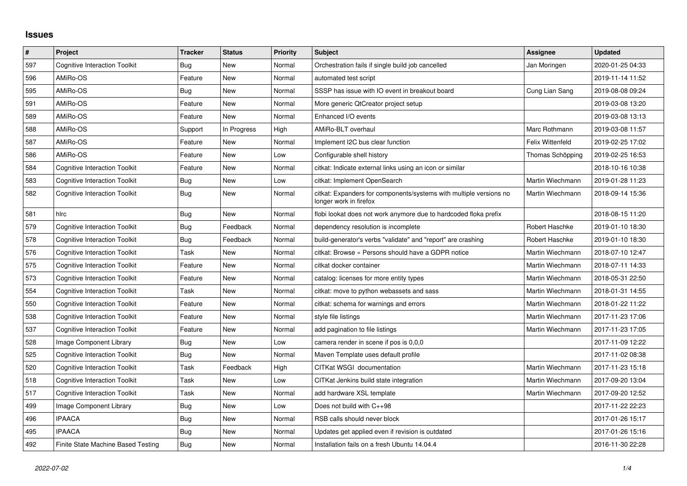## **Issues**

| #   | Project                              | <b>Tracker</b> | <b>Status</b> | <b>Priority</b> | <b>Subject</b>                                                                               | Assignee         | <b>Updated</b>   |
|-----|--------------------------------------|----------------|---------------|-----------------|----------------------------------------------------------------------------------------------|------------------|------------------|
| 597 | <b>Cognitive Interaction Toolkit</b> | Bug            | <b>New</b>    | Normal          | Orchestration fails if single build job cancelled                                            | Jan Moringen     | 2020-01-25 04:33 |
| 596 | AMiRo-OS                             | Feature        | <b>New</b>    | Normal          | automated test script                                                                        |                  | 2019-11-14 11:52 |
| 595 | AMiRo-OS                             | Bug            | New           | Normal          | SSSP has issue with IO event in breakout board                                               | Cung Lian Sang   | 2019-08-08 09:24 |
| 591 | AMiRo-OS                             | Feature        | <b>New</b>    | Normal          | More generic QtCreator project setup                                                         |                  | 2019-03-08 13:20 |
| 589 | AMiRo-OS                             | Feature        | New           | Normal          | Enhanced I/O events                                                                          |                  | 2019-03-08 13:13 |
| 588 | AMiRo-OS                             | Support        | In Progress   | High            | AMiRo-BLT overhaul                                                                           | Marc Rothmann    | 2019-03-08 11:57 |
| 587 | AMiRo-OS                             | Feature        | New           | Normal          | Implement I2C bus clear function                                                             | Felix Wittenfeld | 2019-02-25 17:02 |
| 586 | AMiRo-OS                             | Feature        | <b>New</b>    | Low             | Configurable shell history                                                                   | Thomas Schöpping | 2019-02-25 16:53 |
| 584 | <b>Cognitive Interaction Toolkit</b> | Feature        | <b>New</b>    | Normal          | citkat: Indicate external links using an icon or similar                                     |                  | 2018-10-16 10:38 |
| 583 | <b>Cognitive Interaction Toolkit</b> | Bug            | <b>New</b>    | Low             | citkat: Implement OpenSearch                                                                 | Martin Wiechmann | 2019-01-28 11:23 |
| 582 | <b>Cognitive Interaction Toolkit</b> | Bug            | New           | Normal          | citkat: Expanders for components/systems with multiple versions no<br>longer work in firefox | Martin Wiechmann | 2018-09-14 15:36 |
| 581 | hlrc                                 | Bug            | <b>New</b>    | Normal          | flobi lookat does not work anymore due to hardcoded floka prefix                             |                  | 2018-08-15 11:20 |
| 579 | <b>Cognitive Interaction Toolkit</b> | Bug            | Feedback      | Normal          | dependency resolution is incomplete                                                          | Robert Haschke   | 2019-01-10 18:30 |
| 578 | <b>Cognitive Interaction Toolkit</b> | Bug            | Feedback      | Normal          | build-generator's verbs "validate" and "report" are crashing                                 | Robert Haschke   | 2019-01-10 18:30 |
| 576 | <b>Cognitive Interaction Toolkit</b> | Task           | New           | Normal          | citkat: Browse » Persons should have a GDPR notice                                           | Martin Wiechmann | 2018-07-10 12:47 |
| 575 | <b>Cognitive Interaction Toolkit</b> | Feature        | <b>New</b>    | Normal          | citkat docker container                                                                      | Martin Wiechmann | 2018-07-11 14:33 |
| 573 | <b>Cognitive Interaction Toolkit</b> | Feature        | New           | Normal          | catalog: licenses for more entity types                                                      | Martin Wiechmann | 2018-05-31 22:50 |
| 554 | <b>Cognitive Interaction Toolkit</b> | Task           | <b>New</b>    | Normal          | citkat: move to python webassets and sass                                                    | Martin Wiechmann | 2018-01-31 14:55 |
| 550 | <b>Cognitive Interaction Toolkit</b> | Feature        | <b>New</b>    | Normal          | citkat: schema for warnings and errors                                                       | Martin Wiechmann | 2018-01-22 11:22 |
| 538 | <b>Cognitive Interaction Toolkit</b> | Feature        | New           | Normal          | style file listings                                                                          | Martin Wiechmann | 2017-11-23 17:06 |
| 537 | <b>Cognitive Interaction Toolkit</b> | Feature        | New           | Normal          | add pagination to file listings                                                              | Martin Wiechmann | 2017-11-23 17:05 |
| 528 | Image Component Library              | Bug            | New           | Low             | camera render in scene if pos is 0,0,0                                                       |                  | 2017-11-09 12:22 |
| 525 | <b>Cognitive Interaction Toolkit</b> | Bug            | New           | Normal          | Maven Template uses default profile                                                          |                  | 2017-11-02 08:38 |
| 520 | <b>Cognitive Interaction Toolkit</b> | Task           | Feedback      | High            | CITKat WSGI documentation                                                                    | Martin Wiechmann | 2017-11-23 15:18 |
| 518 | <b>Cognitive Interaction Toolkit</b> | Task           | New           | Low             | CITKat Jenkins build state integration                                                       | Martin Wiechmann | 2017-09-20 13:04 |
| 517 | <b>Cognitive Interaction Toolkit</b> | Task           | <b>New</b>    | Normal          | add hardware XSL template                                                                    | Martin Wiechmann | 2017-09-20 12:52 |
| 499 | Image Component Library              | Bug            | <b>New</b>    | Low             | Does not build with C++98                                                                    |                  | 2017-11-22 22:23 |
| 496 | <b>IPAACA</b>                        | Bug            | <b>New</b>    | Normal          | RSB calls should never block                                                                 |                  | 2017-01-26 15:17 |
| 495 | <b>IPAACA</b>                        | Bug            | New           | Normal          | Updates get applied even if revision is outdated                                             |                  | 2017-01-26 15:16 |
| 492 | Finite State Machine Based Testing   | Bug            | <b>New</b>    | Normal          | Installation fails on a fresh Ubuntu 14.04.4                                                 |                  | 2016-11-30 22:28 |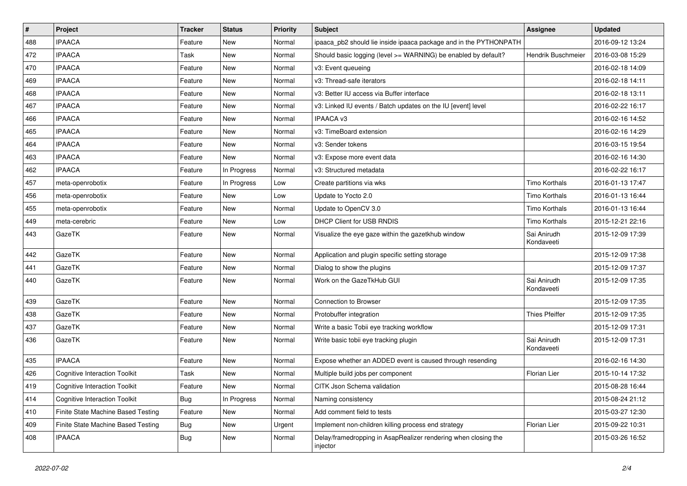| #   | Project                              | <b>Tracker</b> | <b>Status</b> | <b>Priority</b> | Subject                                                                    | Assignee                  | <b>Updated</b>   |
|-----|--------------------------------------|----------------|---------------|-----------------|----------------------------------------------------------------------------|---------------------------|------------------|
| 488 | <b>IPAACA</b>                        | Feature        | New           | Normal          | ipaaca_pb2 should lie inside ipaaca package and in the PYTHONPATH          |                           | 2016-09-12 13:24 |
| 472 | <b>IPAACA</b>                        | Task           | <b>New</b>    | Normal          | Should basic logging (level >= WARNING) be enabled by default?             | Hendrik Buschmeier        | 2016-03-08 15:29 |
| 470 | <b>IPAACA</b>                        | Feature        | New           | Normal          | v3: Event queueing                                                         |                           | 2016-02-18 14:09 |
| 469 | <b>IPAACA</b>                        | Feature        | <b>New</b>    | Normal          | v3: Thread-safe iterators                                                  |                           | 2016-02-18 14:11 |
| 468 | <b>IPAACA</b>                        | Feature        | <b>New</b>    | Normal          | v3: Better IU access via Buffer interface                                  |                           | 2016-02-18 13:11 |
| 467 | <b>IPAACA</b>                        | Feature        | New           | Normal          | v3: Linked IU events / Batch updates on the IU [event] level               |                           | 2016-02-22 16:17 |
| 466 | <b>IPAACA</b>                        | Feature        | <b>New</b>    | Normal          | IPAACA v3                                                                  |                           | 2016-02-16 14:52 |
| 465 | <b>IPAACA</b>                        | Feature        | <b>New</b>    | Normal          | v3: TimeBoard extension                                                    |                           | 2016-02-16 14:29 |
| 464 | <b>IPAACA</b>                        | Feature        | <b>New</b>    | Normal          | v3: Sender tokens                                                          |                           | 2016-03-15 19:54 |
| 463 | <b>IPAACA</b>                        | Feature        | <b>New</b>    | Normal          | v3: Expose more event data                                                 |                           | 2016-02-16 14:30 |
| 462 | <b>IPAACA</b>                        | Feature        | In Progress   | Normal          | v3: Structured metadata                                                    |                           | 2016-02-22 16:17 |
| 457 | meta-openrobotix                     | Feature        | In Progress   | Low             | Create partitions via wks                                                  | Timo Korthals             | 2016-01-13 17:47 |
| 456 | meta-openrobotix                     | Feature        | <b>New</b>    | Low             | Update to Yocto 2.0                                                        | <b>Timo Korthals</b>      | 2016-01-13 16:44 |
| 455 | meta-openrobotix                     | Feature        | New           | Normal          | Update to OpenCV 3.0                                                       | <b>Timo Korthals</b>      | 2016-01-13 16:44 |
| 449 | meta-cerebric                        | Feature        | <b>New</b>    | Low             | <b>DHCP Client for USB RNDIS</b>                                           | Timo Korthals             | 2015-12-21 22:16 |
| 443 | GazeTK                               | Feature        | New           | Normal          | Visualize the eye gaze within the gazetkhub window                         | Sai Anirudh<br>Kondaveeti | 2015-12-09 17:39 |
| 442 | GazeTK                               | Feature        | <b>New</b>    | Normal          | Application and plugin specific setting storage                            |                           | 2015-12-09 17:38 |
| 441 | GazeTK                               | Feature        | New           | Normal          | Dialog to show the plugins                                                 |                           | 2015-12-09 17:37 |
| 440 | GazeTK                               | Feature        | New           | Normal          | Work on the GazeTkHub GUI                                                  | Sai Anirudh<br>Kondaveeti | 2015-12-09 17:35 |
| 439 | GazeTK                               | Feature        | <b>New</b>    | Normal          | Connection to Browser                                                      |                           | 2015-12-09 17:35 |
| 438 | GazeTK                               | Feature        | New           | Normal          | Protobuffer integration                                                    | <b>Thies Pfeiffer</b>     | 2015-12-09 17:35 |
| 437 | GazeTK                               | Feature        | New           | Normal          | Write a basic Tobii eye tracking workflow                                  |                           | 2015-12-09 17:31 |
| 436 | GazeTK                               | Feature        | New           | Normal          | Write basic tobii eye tracking plugin                                      | Sai Anirudh<br>Kondaveeti | 2015-12-09 17:31 |
| 435 | <b>IPAACA</b>                        | Feature        | <b>New</b>    | Normal          | Expose whether an ADDED event is caused through resending                  |                           | 2016-02-16 14:30 |
| 426 | <b>Cognitive Interaction Toolkit</b> | Task           | New           | Normal          | Multiple build jobs per component                                          | Florian Lier              | 2015-10-14 17:32 |
| 419 | <b>Cognitive Interaction Toolkit</b> | Feature        | New           | Normal          | CITK Json Schema validation                                                |                           | 2015-08-28 16:44 |
| 414 | <b>Cognitive Interaction Toolkit</b> | Bug            | In Progress   | Normal          | Naming consistency                                                         |                           | 2015-08-24 21:12 |
| 410 | Finite State Machine Based Testing   | Feature        | New           | Normal          | Add comment field to tests                                                 |                           | 2015-03-27 12:30 |
| 409 | Finite State Machine Based Testing   | Bug            | New           | Urgent          | Implement non-children killing process end strategy                        | Florian Lier              | 2015-09-22 10:31 |
| 408 | <b>IPAACA</b>                        | <b>Bug</b>     | New           | Normal          | Delay/framedropping in AsapRealizer rendering when closing the<br>injector |                           | 2015-03-26 16:52 |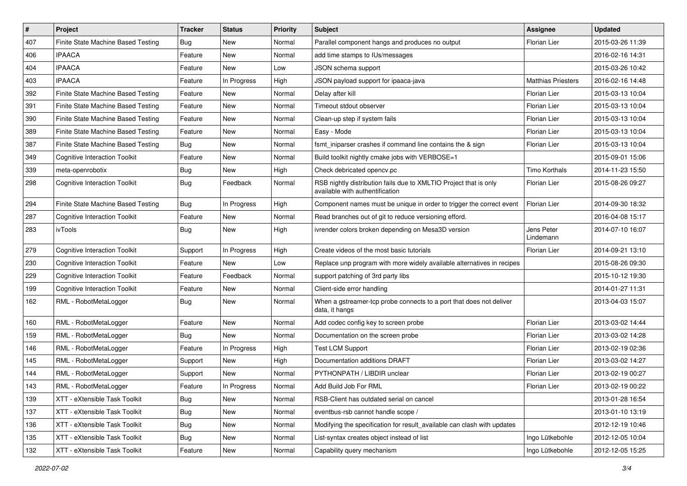| #   | Project                              | <b>Tracker</b> | <b>Status</b> | Priority | Subject                                                                                              | Assignee                  | <b>Updated</b>   |
|-----|--------------------------------------|----------------|---------------|----------|------------------------------------------------------------------------------------------------------|---------------------------|------------------|
| 407 | Finite State Machine Based Testing   | Bug            | New           | Normal   | Parallel component hangs and produces no output                                                      | <b>Florian Lier</b>       | 2015-03-26 11:39 |
| 406 | <b>IPAACA</b>                        | Feature        | <b>New</b>    | Normal   | add time stamps to IUs/messages                                                                      |                           | 2016-02-16 14:31 |
| 404 | <b>IPAACA</b>                        | Feature        | New           | Low      | JSON schema support                                                                                  |                           | 2015-03-26 10:42 |
| 403 | <b>IPAACA</b>                        | Feature        | In Progress   | High     | JSON payload support for ipaaca-java                                                                 | <b>Matthias Priesters</b> | 2016-02-16 14:48 |
| 392 | Finite State Machine Based Testing   | Feature        | <b>New</b>    | Normal   | Delay after kill                                                                                     | Florian Lier              | 2015-03-13 10:04 |
| 391 | Finite State Machine Based Testing   | Feature        | New           | Normal   | Timeout stdout observer                                                                              | Florian Lier              | 2015-03-13 10:04 |
| 390 | Finite State Machine Based Testing   | Feature        | <b>New</b>    | Normal   | Clean-up step if system fails                                                                        | <b>Florian Lier</b>       | 2015-03-13 10:04 |
| 389 | Finite State Machine Based Testing   | Feature        | <b>New</b>    | Normal   | Easy - Mode                                                                                          | Florian Lier              | 2015-03-13 10:04 |
| 387 | Finite State Machine Based Testing   | Bug            | <b>New</b>    | Normal   | fsmt iniparser crashes if command line contains the & sign                                           | <b>Florian Lier</b>       | 2015-03-13 10:04 |
| 349 | <b>Cognitive Interaction Toolkit</b> | Feature        | <b>New</b>    | Normal   | Build toolkit nightly cmake jobs with VERBOSE=1                                                      |                           | 2015-09-01 15:06 |
| 339 | meta-openrobotix                     | Bug            | <b>New</b>    | High     | Check debricated opencv.pc                                                                           | Timo Korthals             | 2014-11-23 15:50 |
| 298 | <b>Cognitive Interaction Toolkit</b> | Bug            | Feedback      | Normal   | RSB nightly distribution fails due to XMLTIO Project that is only<br>available with authentification | <b>Florian Lier</b>       | 2015-08-26 09:27 |
| 294 | Finite State Machine Based Testing   | Bug            | In Progress   | High     | Component names must be unique in order to trigger the correct event                                 | <b>Florian Lier</b>       | 2014-09-30 18:32 |
| 287 | <b>Cognitive Interaction Toolkit</b> | Feature        | <b>New</b>    | Normal   | Read branches out of git to reduce versioning efford.                                                |                           | 2016-04-08 15:17 |
| 283 | ivTools                              | Bug            | New           | High     | ivrender colors broken depending on Mesa3D version                                                   | Jens Peter<br>Lindemann   | 2014-07-10 16:07 |
| 279 | <b>Cognitive Interaction Toolkit</b> | Support        | In Progress   | High     | Create videos of the most basic tutorials                                                            | Florian Lier              | 2014-09-21 13:10 |
| 230 | <b>Cognitive Interaction Toolkit</b> | Feature        | New           | Low      | Replace unp program with more widely available alternatives in recipes                               |                           | 2015-08-26 09:30 |
| 229 | <b>Cognitive Interaction Toolkit</b> | Feature        | Feedback      | Normal   | support patching of 3rd party libs                                                                   |                           | 2015-10-12 19:30 |
| 199 | <b>Cognitive Interaction Toolkit</b> | Feature        | New           | Normal   | Client-side error handling                                                                           |                           | 2014-01-27 11:31 |
| 162 | RML - RobotMetaLogger                | Bug            | <b>New</b>    | Normal   | When a gstreamer-tcp probe connects to a port that does not deliver<br>data, it hangs                |                           | 2013-04-03 15:07 |
| 160 | RML - RobotMetaLogger                | Feature        | <b>New</b>    | Normal   | Add codec config key to screen probe                                                                 | Florian Lier              | 2013-03-02 14:44 |
| 159 | RML - RobotMetaLogger                | Bug            | <b>New</b>    | Normal   | Documentation on the screen probe                                                                    | Florian Lier              | 2013-03-02 14:28 |
| 146 | RML - RobotMetaLogger                | Feature        | In Progress   | High     | <b>Test LCM Support</b>                                                                              | Florian Lier              | 2013-02-19 02:36 |
| 145 | RML - RobotMetaLogger                | Support        | New           | High     | Documentation additions DRAFT                                                                        | <b>Florian Lier</b>       | 2013-03-02 14:27 |
| 144 | RML - RobotMetaLogger                | Support        | <b>New</b>    | Normal   | PYTHONPATH / LIBDIR unclear                                                                          | <b>Florian Lier</b>       | 2013-02-19 00:27 |
| 143 | RML - RobotMetaLogger                | Feature        | In Progress   | Normal   | Add Build Job For RML                                                                                | Florian Lier              | 2013-02-19 00:22 |
| 139 | XTT - eXtensible Task Toolkit        | Bug            | New           | Normal   | RSB-Client has outdated serial on cancel                                                             |                           | 2013-01-28 16:54 |
| 137 | XTT - eXtensible Task Toolkit        | Bug            | New           | Normal   | eventbus-rsb cannot handle scope /                                                                   |                           | 2013-01-10 13:19 |
| 136 | XTT - eXtensible Task Toolkit        | <b>Bug</b>     | New           | Normal   | Modifying the specification for result available can clash with updates                              |                           | 2012-12-19 10:46 |
| 135 | XTT - eXtensible Task Toolkit        | Bug            | New           | Normal   | List-syntax creates object instead of list                                                           | Ingo Lütkebohle           | 2012-12-05 10:04 |
| 132 | XTT - eXtensible Task Toolkit        | Feature        | New           | Normal   | Capability query mechanism                                                                           | Ingo Lütkebohle           | 2012-12-05 15:25 |